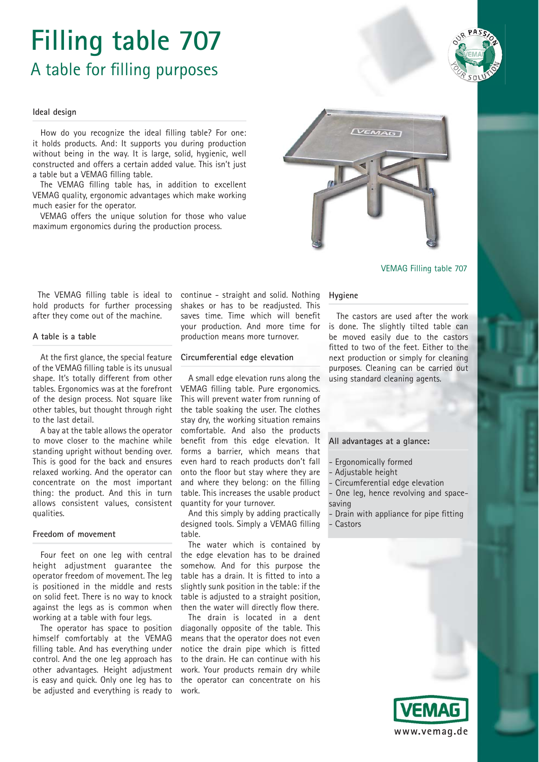# **Filling table 707** A table for filling purposes

#### **Ideal design**

How do you recognize the ideal filling table? For one: it holds products. And: It supports you during production without being in the way. It is large, solid, hygienic, well constructed and offers a certain added value. This isn't just a table but a VEMAG filling table.

The VEMAG filling table has, in addition to excellent VEMAG quality, ergonomic advantages which make working much easier for the operator.

VEMAG offers the unique solution for those who value maximum ergonomics during the production process.



VEMAG Filling table 707

The VEMAG filling table is ideal to hold products for further processing after they come out of the machine.

#### **A table is a table**

At the first glance, the special feature of the VEMAG filling table is its unusual shape. It's totally different from other tables. Ergonomics was at the forefront of the design process. Not square like other tables, but thought through right to the last detail.

A bay at the table allows the operator to move closer to the machine while standing upright without bending over. This is good for the back and ensures relaxed working. And the operator can concentrate on the most important thing: the product. And this in turn allows consistent values, consistent qualities.

### **Freedom of movement**

Four feet on one leg with central height adjustment guarantee the operator freedom of movement. The leg is positioned in the middle and rests on solid feet. There is no way to knock against the legs as is common when working at a table with four legs.

The operator has space to position himself comfortably at the VEMAG filling table. And has everything under control. And the one leg approach has other advantages. Height adjustment is easy and quick. Only one leg has to be adjusted and everything is ready to

continue - straight and solid. Nothing shakes or has to be readjusted. This saves time. Time which will benefit your production. And more time for production means more turnover.

#### **Circumferential edge elevation**

A small edge elevation runs along the VEMAG filling table. Pure ergonomics. This will prevent water from running of the table soaking the user. The clothes stay dry, the working situation remains comfortable. And also the products benefit from this edge elevation. It forms a barrier, which means that even hard to reach products don't fall onto the floor but stay where they are and where they belong: on the filling table. This increases the usable product quantity for your turnover.

And this simply by adding practically designed tools. Simply a VEMAG filling table.

The water which is contained by the edge elevation has to be drained somehow. And for this purpose the table has a drain. It is fitted to into a slightly sunk position in the table: if the table is adjusted to a straight position, then the water will directly flow there.

The drain is located in a dent diagonally opposite of the table. This means that the operator does not even notice the drain pipe which is fitted to the drain. He can continue with his work. Your products remain dry while the operator can concentrate on his work.

#### **Hygiene**

The castors are used after the work is done. The slightly tilted table can be moved easily due to the castors fitted to two of the feet. Either to the next production or simply for cleaning purposes. Cleaning can be carried out using standard cleaning agents.

## **All advantages at a glance:**

- Ergonomically formed
- Adjustable height
- Circumferential edge elevation
- One leg, hence revolving and spacesaving
- Drain with appliance for pipe fitting - Castors